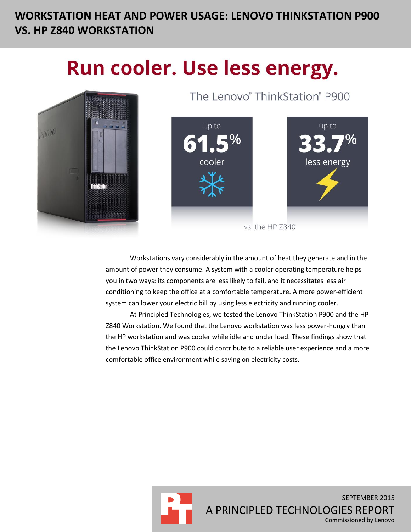# **WORKSTATION HEAT AND POWER USAGE: LENOVO THINKSTATION P900 VS. HP Z840 WORKSTATION**

# Run cooler. Use less energy.



The Lenovo® ThinkStation® P900



vs. the HP Z840

Workstations vary considerably in the amount of heat they generate and in the amount of power they consume. A system with a cooler operating temperature helps you in two ways: its components are less likely to fail, and it necessitates less air conditioning to keep the office at a comfortable temperature. A more power-efficient system can lower your electric bill by using less electricity and running cooler.

At Principled Technologies, we tested the Lenovo ThinkStation P900 and the HP Z840 Workstation. We found that the Lenovo workstation was less power-hungry than the HP workstation and was cooler while idle and under load. These findings show that the Lenovo ThinkStation P900 could contribute to a reliable user experience and a more comfortable office environment while saving on electricity costs.

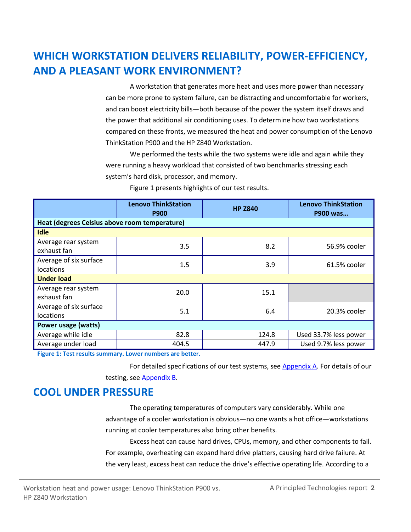# **WHICH WORKSTATION DELIVERS RELIABILITY, POWER-EFFICIENCY, AND A PLEASANT WORK ENVIRONMENT?**

A workstation that generates more heat and uses more power than necessary can be more prone to system failure, can be distracting and uncomfortable for workers, and can boost electricity bills—both because of the power the system itself draws and the power that additional air conditioning uses. To determine how two workstations compared on these fronts, we measured the heat and power consumption of the Lenovo ThinkStation P900 and the HP Z840 Workstation.

We performed the tests while the two systems were idle and again while they were running a heavy workload that consisted of two benchmarks stressing each system's hard disk, processor, and memory.

|                                               | <b>Lenovo ThinkStation</b><br><b>P900</b> | <b>HP Z840</b> | <b>Lenovo ThinkStation</b><br>P900 was |  |  |
|-----------------------------------------------|-------------------------------------------|----------------|----------------------------------------|--|--|
| Heat (degrees Celsius above room temperature) |                                           |                |                                        |  |  |
| <b>Idle</b>                                   |                                           |                |                                        |  |  |
| Average rear system                           | 3.5                                       | 8.2            | 56.9% cooler                           |  |  |
| exhaust fan                                   |                                           |                |                                        |  |  |
| Average of six surface                        | 1.5                                       | 3.9            | 61.5% cooler                           |  |  |
| locations                                     |                                           |                |                                        |  |  |
| <b>Under load</b>                             |                                           |                |                                        |  |  |
| Average rear system                           | 20.0                                      | 15.1           |                                        |  |  |
| exhaust fan                                   |                                           |                |                                        |  |  |
| Average of six surface                        | 5.1                                       | 6.4            | 20.3% cooler                           |  |  |
| locations                                     |                                           |                |                                        |  |  |
| Power usage (watts)                           |                                           |                |                                        |  |  |
| Average while idle                            | 82.8                                      | 124.8          | Used 33.7% less power                  |  |  |
| Average under load                            | 404.5                                     | 447.9          | Used 9.7% less power                   |  |  |

Figure 1 presents highlights of our test results.

**Figure 1: Test results summary. Lower numbers are better.**

For detailed specifications of our test systems, see [Appendix A.](#page-4-0) For details of our testing, see [Appendix B.](#page-7-0)

### **COOL UNDER PRESSURE**

The operating temperatures of computers vary considerably. While one advantage of a cooler workstation is obvious—no one wants a hot office—workstations running at cooler temperatures also bring other benefits.

Excess heat can cause hard drives, CPUs, memory, and other components to fail. For example, overheating can expand hard drive platters, causing hard drive failure. At the very least, excess heat can reduce the drive's effective operating life. According to a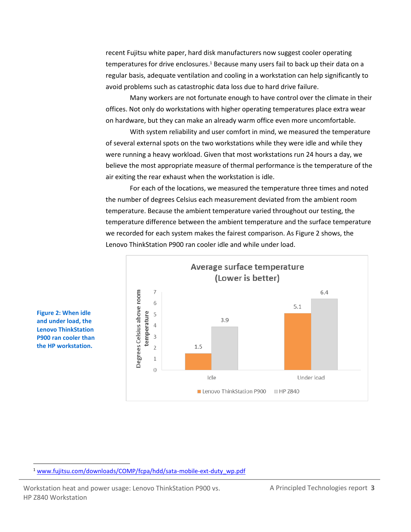recent Fujitsu white paper, hard disk manufacturers now suggest cooler operating temperatures for drive enclosures.<sup>1</sup> Because many users fail to back up their data on a regular basis, adequate ventilation and cooling in a workstation can help significantly to avoid problems such as catastrophic data loss due to hard drive failure.

Many workers are not fortunate enough to have control over the climate in their offices. Not only do workstations with higher operating temperatures place extra wear on hardware, but they can make an already warm office even more uncomfortable.

With system reliability and user comfort in mind, we measured the temperature of several external spots on the two workstations while they were idle and while they were running a heavy workload. Given that most workstations run 24 hours a day, we believe the most appropriate measure of thermal performance is the temperature of the air exiting the rear exhaust when the workstation is idle.

For each of the locations, we measured the temperature three times and noted the number of degrees Celsius each measurement deviated from the ambient room temperature. Because the ambient temperature varied throughout our testing, the temperature difference between the ambient temperature and the surface temperature we recorded for each system makes the fairest comparison. As Figure 2 shows, the Lenovo ThinkStation P900 ran cooler idle and while under load.



**Figure 2: When idle and under load, the Lenovo ThinkStation P900 ran cooler than the HP workstation.**

 $\overline{a}$ <sup>1</sup> [www.fujitsu.com/downloads/COMP/fcpa/hdd/sata-mobile-ext-duty\\_wp.pdf](http://www.fujitsu.com/downloads/COMP/fcpa/hdd/sata-mobile-ext-duty_wp.pdf)

Workstation heat and power usage: Lenovo ThinkStation P900 vs. A Principled Technologies report 3 HP Z840 Workstation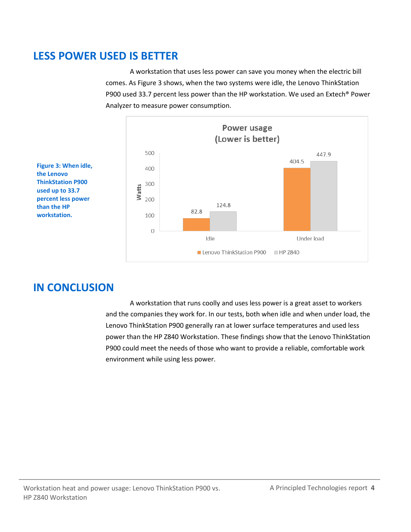### **LESS POWER USED IS BETTER**

A workstation that uses less power can save you money when the electric bill comes. As Figure 3 shows, when the two systems were idle, the Lenovo ThinkStation P900 used 33.7 percent less power than the HP workstation. We used an Extech® Power Analyzer to measure power consumption.



**Figure 3: When idle, the Lenovo ThinkStation P900 used up to 33.7 percent less power than the HP workstation.**

# **IN CONCLUSION**

A workstation that runs coolly and uses less power is a great asset to workers and the companies they work for. In our tests, both when idle and when under load, the Lenovo ThinkStation P900 generally ran at lower surface temperatures and used less power than the HP Z840 Workstation. These findings show that the Lenovo ThinkStation P900 could meet the needs of those who want to provide a reliable, comfortable work environment while using less power.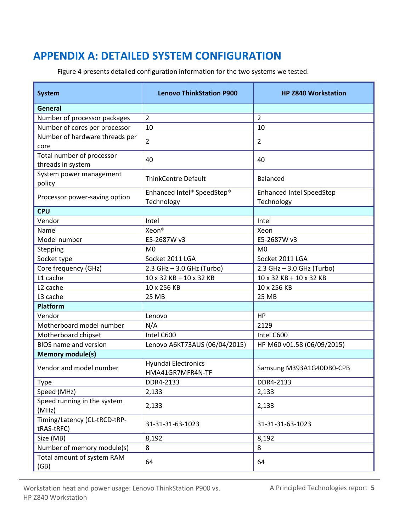# <span id="page-4-0"></span>**APPENDIX A: DETAILED SYSTEM CONFIGURATION**

Figure 4 presents detailed configuration information for the two systems we tested.

| <b>System</b>                                  | <b>Lenovo ThinkStation P900</b>          | <b>HP Z840 Workstation</b>                    |
|------------------------------------------------|------------------------------------------|-----------------------------------------------|
| General                                        |                                          |                                               |
| Number of processor packages                   | $\overline{2}$                           | $\overline{2}$                                |
| Number of cores per processor                  | 10                                       | 10                                            |
| Number of hardware threads per<br>core         | 2                                        | $\overline{2}$                                |
| Total number of processor<br>threads in system | 40                                       | 40                                            |
| System power management<br>policy              | <b>ThinkCentre Default</b>               | Balanced                                      |
| Processor power-saving option                  | Enhanced Intel® SpeedStep®<br>Technology | <b>Enhanced Intel SpeedStep</b><br>Technology |
| <b>CPU</b>                                     |                                          |                                               |
| Vendor                                         | Intel                                    | Intel                                         |
| Name                                           | Xeon®                                    | Xeon                                          |
| Model number                                   | E5-2687W v3                              | E5-2687W v3                                   |
| Stepping                                       | M <sub>0</sub>                           | M <sub>0</sub>                                |
| Socket type                                    | Socket 2011 LGA                          | Socket 2011 LGA                               |
| Core frequency (GHz)                           | 2.3 GHz - 3.0 GHz (Turbo)                | 2.3 GHz - 3.0 GHz (Turbo)                     |
| L1 cache                                       | 10 x 32 KB + 10 x 32 KB                  | 10 x 32 KB + 10 x 32 KB                       |
| L <sub>2</sub> cache                           | 10 x 256 KB                              | 10 x 256 KB                                   |
| L3 cache                                       | <b>25 MB</b>                             | 25 MB                                         |
| <b>Platform</b>                                |                                          |                                               |
| Vendor                                         | Lenovo                                   | <b>HP</b>                                     |
| Motherboard model number                       | N/A                                      | 2129                                          |
| Motherboard chipset                            | Intel C600                               | Intel C600                                    |
| <b>BIOS name and version</b>                   | Lenovo A6KT73AUS (06/04/2015)            | HP M60 v01.58 (06/09/2015)                    |
| <b>Memory module(s)</b>                        |                                          |                                               |
| Vendor and model number                        | Hyundai Electronics<br>HMA41GR7MFR4N-TF  | Samsung M393A1G40DB0-CPB                      |
| Type                                           | DDR4-2133                                | DDR4-2133                                     |
| Speed (MHz)                                    | 2,133                                    | 2,133                                         |
| Speed running in the system<br>(MHz)           | 2,133                                    | 2,133                                         |
| Timing/Latency (CL-tRCD-tRP-<br>tRAS-tRFC)     | 31-31-31-63-1023                         | 31-31-31-63-1023                              |
| Size (MB)                                      | 8,192                                    | 8,192                                         |
| Number of memory module(s)                     | 8                                        | 8                                             |
| Total amount of system RAM<br>(GB)             | 64                                       | 64                                            |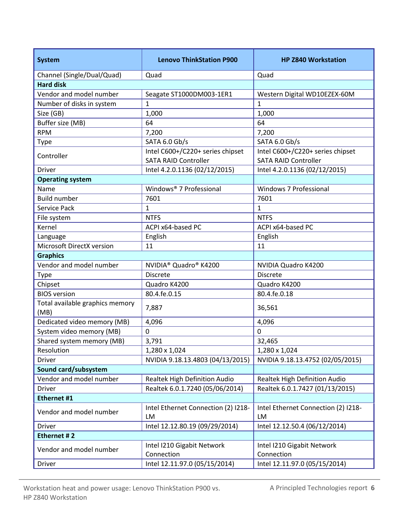| <b>System</b>                           | <b>Lenovo ThinkStation P900</b>           | <b>HP Z840 Workstation</b>                |  |  |
|-----------------------------------------|-------------------------------------------|-------------------------------------------|--|--|
| Channel (Single/Dual/Quad)              | Quad                                      | Quad                                      |  |  |
| <b>Hard disk</b>                        |                                           |                                           |  |  |
| Vendor and model number                 | Seagate ST1000DM003-1ER1                  | Western Digital WD10EZEX-60M              |  |  |
| Number of disks in system               | 1                                         | 1                                         |  |  |
| Size (GB)                               | 1,000                                     | 1,000                                     |  |  |
| Buffer size (MB)                        | 64                                        | 64                                        |  |  |
| <b>RPM</b>                              | 7,200                                     | 7,200                                     |  |  |
| Type                                    | SATA 6.0 Gb/s                             | SATA 6.0 Gb/s                             |  |  |
| Controller                              | Intel C600+/C220+ series chipset          | Intel C600+/C220+ series chipset          |  |  |
|                                         | <b>SATA RAID Controller</b>               | <b>SATA RAID Controller</b>               |  |  |
| Driver                                  | Intel 4.2.0.1136 (02/12/2015)             | Intel 4.2.0.1136 (02/12/2015)             |  |  |
| <b>Operating system</b>                 |                                           |                                           |  |  |
| Name                                    | Windows® 7 Professional                   | Windows 7 Professional                    |  |  |
| <b>Build number</b>                     | 7601                                      | 7601                                      |  |  |
| <b>Service Pack</b>                     | $\mathbf{1}$                              | $\mathbf{1}$                              |  |  |
| File system                             | <b>NTFS</b>                               | <b>NTFS</b>                               |  |  |
| Kernel                                  | ACPI x64-based PC                         | ACPI x64-based PC                         |  |  |
| Language                                | English                                   | English                                   |  |  |
| Microsoft DirectX version               | 11                                        | 11                                        |  |  |
| <b>Graphics</b>                         |                                           |                                           |  |  |
| Vendor and model number                 | NVIDIA <sup>®</sup> Quadro® K4200         | NVIDIA Quadro K4200                       |  |  |
| Type                                    | <b>Discrete</b>                           | <b>Discrete</b>                           |  |  |
| Chipset                                 | Quadro K4200                              | Quadro K4200                              |  |  |
| <b>BIOS</b> version                     | 80.4.fe.0.15                              | 80.4.fe.0.18                              |  |  |
| Total available graphics memory<br>(MB) | 7,887                                     | 36,561                                    |  |  |
| Dedicated video memory (MB)             | 4,096                                     | 4,096                                     |  |  |
| System video memory (MB)                | $\mathbf 0$                               | 0                                         |  |  |
| Shared system memory (MB)               | 3,791                                     | 32,465                                    |  |  |
| Resolution                              | 1,280 x 1,024                             | 1,280 x 1,024                             |  |  |
| Driver                                  | NVIDIA 9.18.13.4803 (04/13/2015)          | NVIDIA 9.18.13.4752 (02/05/2015)          |  |  |
| Sound card/subsystem                    |                                           |                                           |  |  |
| Vendor and model number                 | Realtek High Definition Audio             | Realtek High Definition Audio             |  |  |
| Driver                                  | Realtek 6.0.1.7240 (05/06/2014)           | Realtek 6.0.1.7427 (01/13/2015)           |  |  |
| Ethernet #1                             |                                           |                                           |  |  |
| Vendor and model number                 | Intel Ethernet Connection (2) I218-<br>LM | Intel Ethernet Connection (2) I218-<br>LM |  |  |
| Driver                                  | Intel 12.12.80.19 (09/29/2014)            | Intel 12.12.50.4 (06/12/2014)             |  |  |
| Ethernet #2                             |                                           |                                           |  |  |
| Vendor and model number                 | Intel I210 Gigabit Network<br>Connection  | Intel I210 Gigabit Network<br>Connection  |  |  |
| Driver                                  | Intel 12.11.97.0 (05/15/2014)             | Intel 12.11.97.0 (05/15/2014)             |  |  |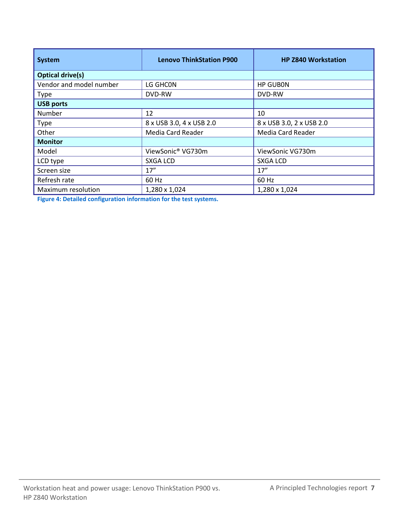| <b>System</b>           | <b>Lenovo ThinkStation P900</b> | <b>HP Z840 Workstation</b> |
|-------------------------|---------------------------------|----------------------------|
| <b>Optical drive(s)</b> |                                 |                            |
| Vendor and model number | LG GHCON                        | <b>HP GUBON</b>            |
| <b>Type</b>             | DVD-RW                          | DVD-RW                     |
| <b>USB ports</b>        |                                 |                            |
| Number                  | 12                              | 10                         |
| Type                    | 8 x USB 3.0, 4 x USB 2.0        | 8 x USB 3.0, 2 x USB 2.0   |
| Other                   | Media Card Reader               | Media Card Reader          |
| <b>Monitor</b>          |                                 |                            |
| Model                   | ViewSonic® VG730m               | ViewSonic VG730m           |
| LCD type                | <b>SXGA LCD</b>                 | <b>SXGA LCD</b>            |
| Screen size             | 17''                            | 17''                       |
| Refresh rate            | 60 Hz                           | 60 Hz                      |
| Maximum resolution      | 1,280 x 1,024                   | 1,280 x 1,024              |

**Figure 4: Detailed configuration information for the test systems.**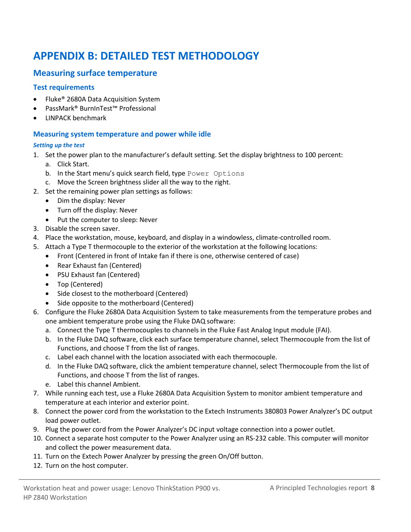# <span id="page-7-0"></span>**APPENDIX B: DETAILED TEST METHODOLOGY**

#### **Measuring surface temperature**

#### **Test requirements**

- Fluke® 2680A Data Acquisition System
- PassMark® BurnInTest™ Professional
- LINPACK benchmark

#### **Measuring system temperature and power while idle**

#### *Setting up the test*

- 1. Set the power plan to the manufacturer's default setting. Set the display brightness to 100 percent: a. Click Start.
	- b. In the Start menu's quick search field, type Power Options
	- c. Move the Screen brightness slider all the way to the right.
- 2. Set the remaining power plan settings as follows:
	- Dim the display: Never
	- Turn off the display: Never
	- Put the computer to sleep: Never
- 3. Disable the screen saver.
- 4. Place the workstation, mouse, keyboard, and display in a windowless, climate-controlled room.
- 5. Attach a Type T thermocouple to the exterior of the workstation at the following locations:
	- Front (Centered in front of Intake fan if there is one, otherwise centered of case)
	- Rear Exhaust fan (Centered)
	- PSU Exhaust fan (Centered)
	- Top (Centered)
	- Side closest to the motherboard (Centered)
	- Side opposite to the motherboard (Centered)
- 6. Configure the Fluke 2680A Data Acquisition System to take measurements from the temperature probes and one ambient temperature probe using the Fluke DAQ software:
	- a. Connect the Type T thermocouples to channels in the Fluke Fast Analog Input module (FAI).
	- b. In the Fluke DAQ software, click each surface temperature channel, select Thermocouple from the list of Functions, and choose T from the list of ranges.
	- c. Label each channel with the location associated with each thermocouple.
	- d. In the Fluke DAQ software, click the ambient temperature channel, select Thermocouple from the list of Functions, and choose T from the list of ranges.
	- e. Label this channel Ambient.
- 7. While running each test, use a Fluke 2680A Data Acquisition System to monitor ambient temperature and temperature at each interior and exterior point.
- 8. Connect the power cord from the workstation to the Extech Instruments 380803 Power Analyzer's DC output load power outlet.
- 9. Plug the power cord from the Power Analyzer's DC input voltage connection into a power outlet.
- 10. Connect a separate host computer to the Power Analyzer using an RS-232 cable. This computer will monitor and collect the power measurement data.
- 11. Turn on the Extech Power Analyzer by pressing the green On/Off button.
- 12. Turn on the host computer.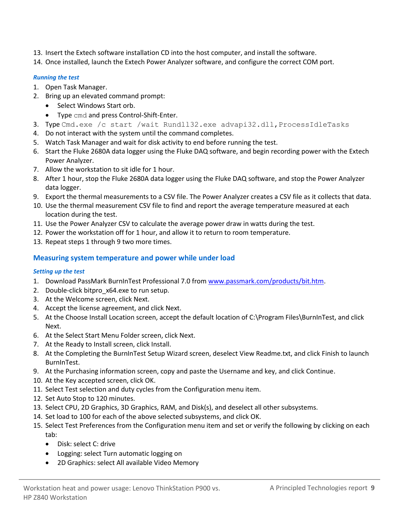- 13. Insert the Extech software installation CD into the host computer, and install the software.
- 14. Once installed, launch the Extech Power Analyzer software, and configure the correct COM port.

#### *Running the test*

- 1. Open Task Manager.
- 2. Bring up an elevated command prompt:
	- Select Windows Start orb.
	- Type cmd and press Control-Shift-Enter.
- 3. Type Cmd.exe /c start /wait Rundll32.exe advapi32.dll, ProcessIdleTasks
- 4. Do not interact with the system until the command completes.
- 5. Watch Task Manager and wait for disk activity to end before running the test.
- 6. Start the Fluke 2680A data logger using the Fluke DAQ software, and begin recording power with the Extech Power Analyzer.
- 7. Allow the workstation to sit idle for 1 hour.
- 8. After 1 hour, stop the Fluke 2680A data logger using the Fluke DAQ software, and stop the Power Analyzer data logger.
- 9. Export the thermal measurements to a CSV file. The Power Analyzer creates a CSV file as it collects that data.
- 10. Use the thermal measurement CSV file to find and report the average temperature measured at each location during the test.
- 11. Use the Power Analyzer CSV to calculate the average power draw in watts during the test.
- 12. Power the workstation off for 1 hour, and allow it to return to room temperature.
- 13. Repeat steps 1 through 9 two more times.

#### **Measuring system temperature and power while under load**

#### *Setting up the test*

- 1. Download PassMark BurnInTest Professional 7.0 from [www.passmark.com/products/bit.htm.](http://www.passmark.com/products/bit.htm)
- 2. Double-click bitpro x64.exe to run setup.
- 3. At the Welcome screen, click Next.
- 4. Accept the license agreement, and click Next.
- 5. At the Choose Install Location screen, accept the default location of C:\Program Files\BurnInTest, and click Next.
- 6. At the Select Start Menu Folder screen, click Next.
- 7. At the Ready to Install screen, click Install.
- 8. At the Completing the BurnInTest Setup Wizard screen, deselect View Readme.txt, and click Finish to launch BurnInTest.
- 9. At the Purchasing information screen, copy and paste the Username and key, and click Continue.
- 10. At the Key accepted screen, click OK.
- 11. Select Test selection and duty cycles from the Configuration menu item.
- 12. Set Auto Stop to 120 minutes.
- 13. Select CPU, 2D Graphics, 3D Graphics, RAM, and Disk(s), and deselect all other subsystems.
- 14. Set load to 100 for each of the above selected subsystems, and click OK.
- 15. Select Test Preferences from the Configuration menu item and set or verify the following by clicking on each tab:
	- Disk: select C: drive
	- Logging: select Turn automatic logging on
	- 2D Graphics: select All available Video Memory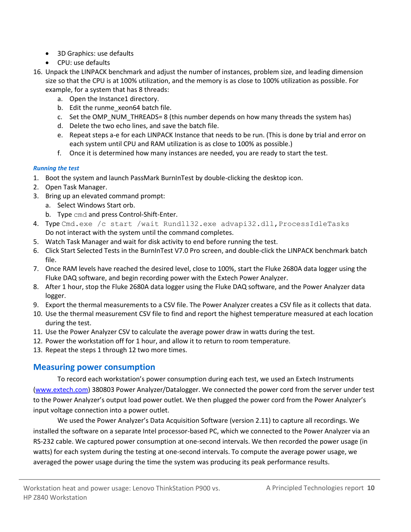- 3D Graphics: use defaults
- CPU: use defaults
- 16. Unpack the LINPACK benchmark and adjust the number of instances, problem size, and leading dimension size so that the CPU is at 100% utilization, and the memory is as close to 100% utilization as possible. For example, for a system that has 8 threads:
	- a. Open the Instance1 directory.
	- b. Edit the runme xeon64 batch file.
	- c. Set the OMP\_NUM\_THREADS= 8 (this number depends on how many threads the system has)
	- d. Delete the two echo lines, and save the batch file.
	- e. Repeat steps a-e for each LINPACK Instance that needs to be run. (This is done by trial and error on each system until CPU and RAM utilization is as close to 100% as possible.)
	- f. Once it is determined how many instances are needed, you are ready to start the test.

#### *Running the test*

- 1. Boot the system and launch PassMark BurnInTest by double-clicking the desktop icon.
- 2. Open Task Manager.
- 3. Bring up an elevated command prompt:
	- a. Select Windows Start orb.
	- b. Type cmd and press Control-Shift-Enter.
- 4. Type Cmd.exe /c start /wait Rundll32.exe advapi32.dll, ProcessIdleTasks Do not interact with the system until the command completes.
- 5. Watch Task Manager and wait for disk activity to end before running the test.
- 6. Click Start Selected Tests in the BurnInTest V7.0 Pro screen, and double-click the LINPACK benchmark batch file.
- 7. Once RAM levels have reached the desired level, close to 100%, start the Fluke 2680A data logger using the Fluke DAQ software, and begin recording power with the Extech Power Analyzer.
- 8. After 1 hour, stop the Fluke 2680A data logger using the Fluke DAQ software, and the Power Analyzer data logger.
- 9. Export the thermal measurements to a CSV file. The Power Analyzer creates a CSV file as it collects that data.
- 10. Use the thermal measurement CSV file to find and report the highest temperature measured at each location during the test.
- 11. Use the Power Analyzer CSV to calculate the average power draw in watts during the test.
- 12. Power the workstation off for 1 hour, and allow it to return to room temperature.
- 13. Repeat the steps 1 through 12 two more times.

#### **Measuring power consumption**

To record each workstation's power consumption during each test, we used an Extech Instruments [\(www.extech.com\)](http://www.extech.com/) 380803 Power Analyzer/Datalogger. We connected the power cord from the server under test to the Power Analyzer's output load power outlet. We then plugged the power cord from the Power Analyzer's input voltage connection into a power outlet.

We used the Power Analyzer's Data Acquisition Software (version 2.11) to capture all recordings. We installed the software on a separate Intel processor-based PC, which we connected to the Power Analyzer via an RS-232 cable. We captured power consumption at one-second intervals. We then recorded the power usage (in watts) for each system during the testing at one-second intervals. To compute the average power usage, we averaged the power usage during the time the system was producing its peak performance results.